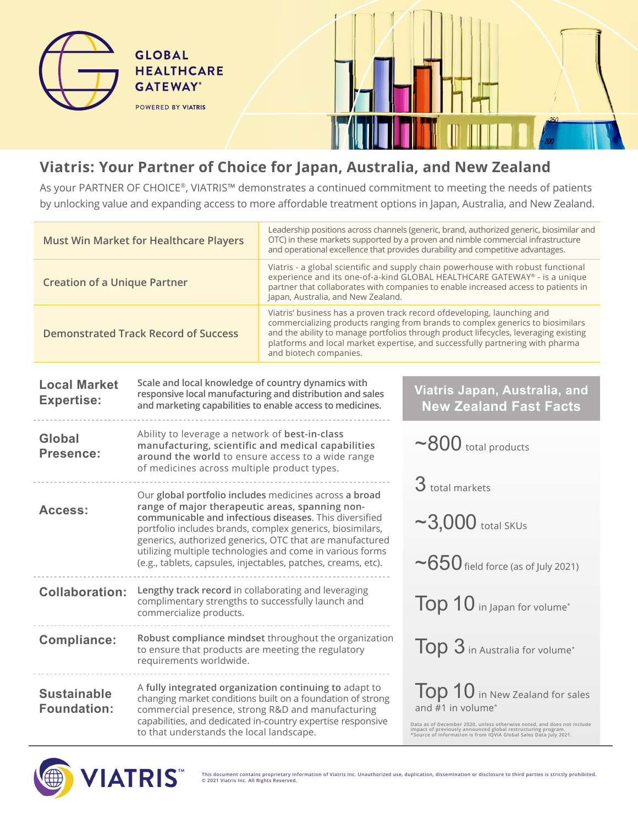

**GLOBAL** 

**HEALTHCARE GATEWAY**\* POWERED BY VIATRIS



## **Viatris: Your Partner of Choice for Japan, Australia, and New Zealand**

As your PARTNER OF CHOICE®, VIATRIS™ demonstrates a continued commitment to meeting the needs of patients by unlocking value and expanding access to more affordable treatment options in Japan, Australia, and New Zealand.

| <b>Must Win Market for Healthcare Players</b> |                                                                                                                                                                                                                                                                                                                                                                                                                            | Leadership positions across channels (generic, brand, authorized generic, biosimilar and<br>OTC) in these markets supported by a proven and nimble commercial infrastructure<br>and operational excellence that provides durability and competitive advantages.                                                                                               |                                                                                                                                                                                                                                                                                 |  |
|-----------------------------------------------|----------------------------------------------------------------------------------------------------------------------------------------------------------------------------------------------------------------------------------------------------------------------------------------------------------------------------------------------------------------------------------------------------------------------------|---------------------------------------------------------------------------------------------------------------------------------------------------------------------------------------------------------------------------------------------------------------------------------------------------------------------------------------------------------------|---------------------------------------------------------------------------------------------------------------------------------------------------------------------------------------------------------------------------------------------------------------------------------|--|
| <b>Creation of a Unique Partner</b>           |                                                                                                                                                                                                                                                                                                                                                                                                                            | Viatris - a global scientific and supply chain powerhouse with robust functional<br>experience and its one-of-a-kind GLOBAL HEALTHCARE GATEWAY® - is a unique<br>partner that collaborates with companies to enable increased access to patients in<br>Japan, Australia, and New Zealand.                                                                     |                                                                                                                                                                                                                                                                                 |  |
| <b>Demonstrated Track Record of Success</b>   |                                                                                                                                                                                                                                                                                                                                                                                                                            | Viatris' business has a proven track record ofdeveloping, launching and<br>commercializing products ranging from brands to complex generics to biosimilars<br>and the ability to manage portfolios through product lifecycles, leveraging existing<br>platforms and local market expertise, and successfully partnering with pharma<br>and biotech companies. |                                                                                                                                                                                                                                                                                 |  |
| <b>Local Market</b><br><b>Expertise:</b>      | Scale and local knowledge of country dynamics with<br>responsive local manufacturing and distribution and sales<br>and marketing capabilities to enable access to medicines.                                                                                                                                                                                                                                               | Viatris Japan, Australia, and<br><b>New Zealand Fast Facts</b>                                                                                                                                                                                                                                                                                                |                                                                                                                                                                                                                                                                                 |  |
| Global<br>Presence:                           | Ability to leverage a network of best-in-class<br>manufacturing, scientific and medical capabilities<br>around the world to ensure access to a wide range<br>of medicines across multiple product types.                                                                                                                                                                                                                   |                                                                                                                                                                                                                                                                                                                                                               | $\sim$ 800 total products                                                                                                                                                                                                                                                       |  |
| Access:                                       | Our global portfolio includes medicines across a broad<br>range of major therapeutic areas, spanning non-<br>communicable and infectious diseases. This diversified<br>portfolio includes brands, complex generics, biosimilars,<br>generics, authorized generics, OTC that are manufactured<br>utilizing multiple technologies and come in various forms<br>(e.g., tablets, capsules, injectables, patches, creams, etc). |                                                                                                                                                                                                                                                                                                                                                               | $3$ total markets<br>$\sim$ 3,000 total SKUs                                                                                                                                                                                                                                    |  |
|                                               |                                                                                                                                                                                                                                                                                                                                                                                                                            |                                                                                                                                                                                                                                                                                                                                                               | $\sim$ 650 field force (as of July 2021)                                                                                                                                                                                                                                        |  |
| <b>Collaboration:</b>                         | Lengthy track record in collaborating and leveraging<br>complimentary strengths to successfully launch and<br>commercialize products.                                                                                                                                                                                                                                                                                      |                                                                                                                                                                                                                                                                                                                                                               | Top 10 in Japan for volume*                                                                                                                                                                                                                                                     |  |
| <b>Compliance:</b>                            | to ensure that products are meeting the regulatory<br>requirements worldwide.                                                                                                                                                                                                                                                                                                                                              | Robust compliance mindset throughout the organization                                                                                                                                                                                                                                                                                                         | Top 3 in Australia for volume*                                                                                                                                                                                                                                                  |  |
| <b>Sustainable</b><br><b>Foundation:</b>      | A fully integrated organization continuing to adapt to<br>changing market conditions built on a foundation of strong<br>commercial presence, strong R&D and manufacturing<br>capabilities, and dedicated in-country expertise responsive<br>to that understands the local landscape.                                                                                                                                       |                                                                                                                                                                                                                                                                                                                                                               | Top 10 in New Zealand for sales<br>and #1 in volume <sup>*</sup><br>Data as of December 2020, unless otherwise noted, and does not include<br>impact of previously announced global restructuring program.<br>*Source of information is from IQVIA Global Sales Data July 2021. |  |



**This document contains proprietary information of Viatris Inc. Unauthorized use, duplication, dissemination or disclosure to third parties is strictly prohibited. © 2021 Viatris Inc. All Rights Reserved.**